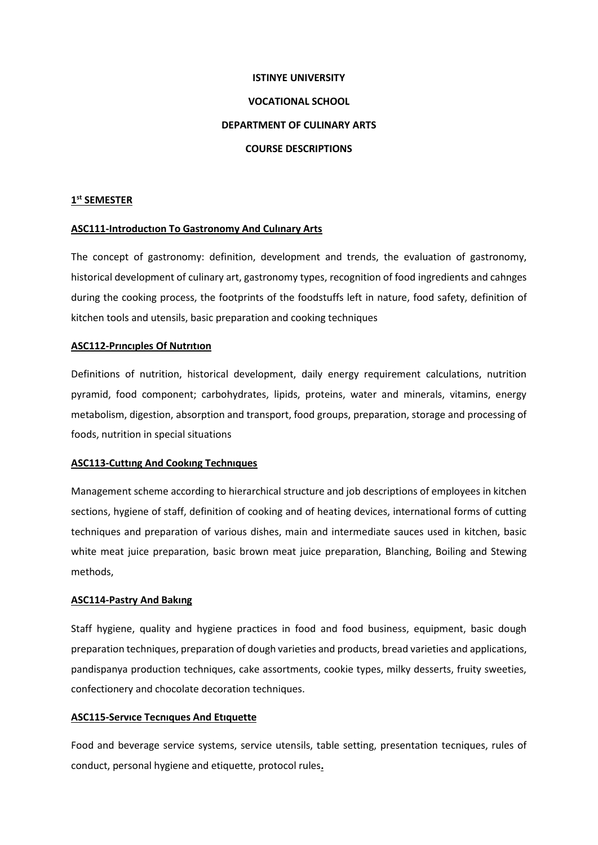# **ISTINYE UNIVERSITY VOCATIONAL SCHOOL DEPARTMENT OF CULINARY ARTS COURSE DESCRIPTIONS**

### **1 st SEMESTER**

#### **ASC111-Introductıon To Gastronomy And Culınary Arts**

The concept of gastronomy: definition, development and trends, the evaluation of gastronomy, historical development of culinary art, gastronomy types, recognition of food ingredients and cahnges during the cooking process, the footprints of the foodstuffs left in nature, food safety, definition of kitchen tools and utensils, basic preparation and cooking techniques

#### **ASC112-Prıncıples Of Nutrıtıon**

Definitions of nutrition, historical development, daily energy requirement calculations, nutrition pyramid, food component; carbohydrates, lipids, proteins, water and minerals, vitamins, energy metabolism, digestion, absorption and transport, food groups, preparation, storage and processing of foods, nutrition in special situations

#### **ASC113-Cuttıng And Cookıng Technıques**

Management scheme according to hierarchical structure and job descriptions of employees in kitchen sections, hygiene of staff, definition of cooking and of heating devices, international forms of cutting techniques and preparation of various dishes, main and intermediate sauces used in kitchen, basic white meat juice preparation, basic brown meat juice preparation, Blanching, Boiling and Stewing methods,

#### **ASC114-Pastry And Bakıng**

Staff hygiene, quality and hygiene practices in food and food business, equipment, basic dough preparation techniques, preparation of dough varieties and products, bread varieties and applications, pandispanya production techniques, cake assortments, cookie types, milky desserts, fruity sweeties, confectionery and chocolate decoration techniques.

#### **ASC115-Servıce Tecnıques And Etıquette**

Food and beverage service systems, service utensils, table setting, presentation tecniques, rules of conduct, personal hygiene and etiquette, protocol rules**.**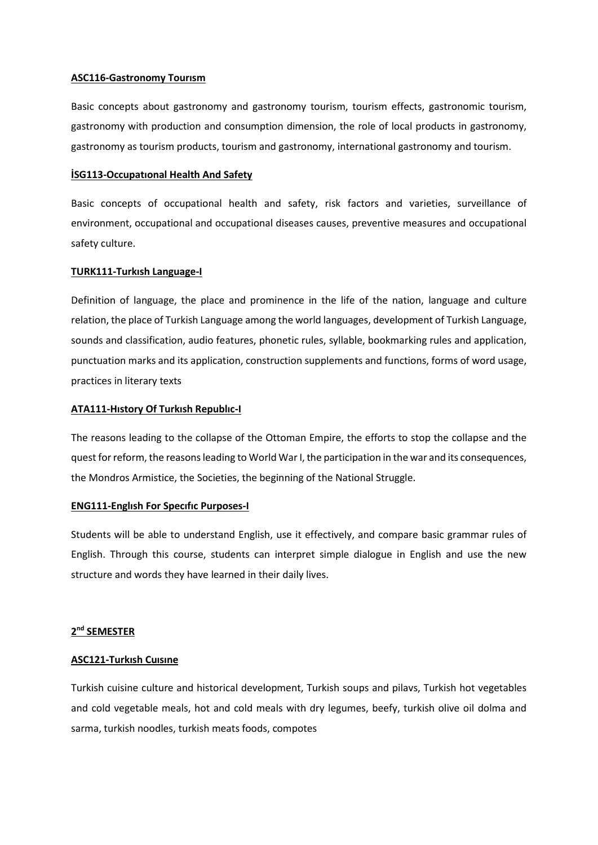#### **ASC116-Gastronomy Tourısm**

Basic concepts about gastronomy and gastronomy tourism, tourism effects, gastronomic tourism, gastronomy with production and consumption dimension, the role of local products in gastronomy, gastronomy as tourism products, tourism and gastronomy, international gastronomy and tourism.

#### **İSG113-Occupatıonal Health And Safety**

Basic concepts of occupational health and safety, risk factors and varieties, surveillance of environment, occupational and occupational diseases causes, preventive measures and occupational safety culture.

#### **TURK111-Turkısh Language-I**

Definition of language, the place and prominence in the life of the nation, language and culture relation, the place of Turkish Language among the world languages, development of Turkish Language, sounds and classification, audio features, phonetic rules, syllable, bookmarking rules and application, punctuation marks and its application, construction supplements and functions, forms of word usage, practices in literary texts

#### **ATA111-Hıstory Of Turkısh Republıc-I**

The reasons leading to the collapse of the Ottoman Empire, the efforts to stop the collapse and the quest for reform, the reasons leading to World War I, the participation in the war and its consequences, the Mondros Armistice, the Societies, the beginning of the National Struggle.

#### **ENG111-Englısh For Specıfıc Purposes-I**

Students will be able to understand English, use it effectively, and compare basic grammar rules of English. Through this course, students can interpret simple dialogue in English and use the new structure and words they have learned in their daily lives.

#### **2 nd SEMESTER**

#### **ASC121-Turkısh Cuısıne**

Turkish cuisine culture and historical development, Turkish soups and pilavs, Turkish hot vegetables and cold vegetable meals, hot and cold meals with dry legumes, beefy, turkish olive oil dolma and sarma, turkish noodles, turkish meats foods, compotes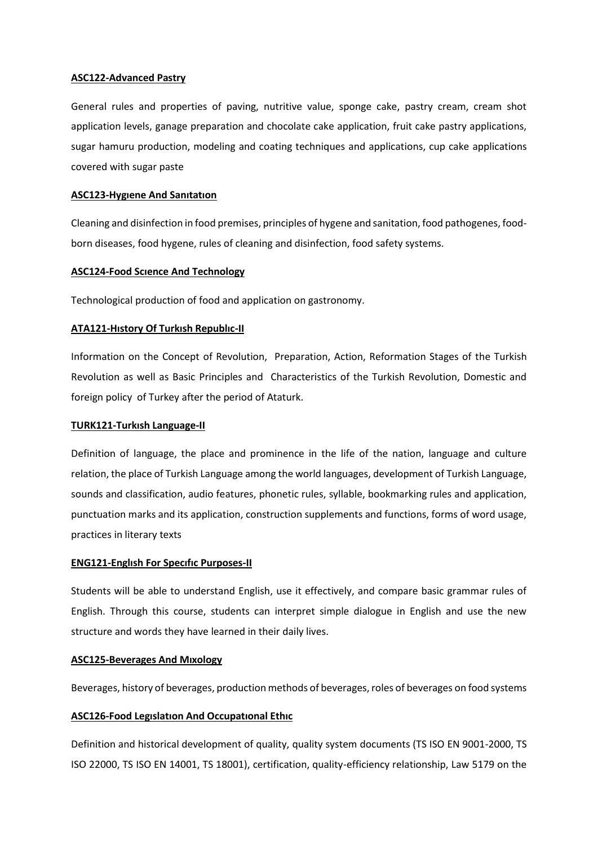## **ASC122-Advanced Pastry**

General rules and properties of paving, nutritive value, sponge cake, pastry cream, cream shot application levels, ganage preparation and chocolate cake application, fruit cake pastry applications, sugar hamuru production, modeling and coating techniques and applications, cup cake applications covered with sugar paste

## **ASC123-Hygıene And Sanıtatıon**

Cleaning and disinfection in food premises, principles of hygene and sanitation, food pathogenes, foodborn diseases, food hygene, rules of cleaning and disinfection, food safety systems.

## **ASC124-Food Scıence And Technology**

Technological production of food and application on gastronomy.

# **ATA121-Hıstory Of Turkısh Republıc-II**

Information on the Concept of Revolution, Preparation, Action, Reformation Stages of the Turkish Revolution as well as Basic Principles and Characteristics of the Turkish Revolution, Domestic and foreign policy of Turkey after the period of Ataturk.

## **TURK121-Turkısh Language-II**

Definition of language, the place and prominence in the life of the nation, language and culture relation, the place of Turkish Language among the world languages, development of Turkish Language, sounds and classification, audio features, phonetic rules, syllable, bookmarking rules and application, punctuation marks and its application, construction supplements and functions, forms of word usage, practices in literary texts

## **ENG121-Englısh For Specıfıc Purposes-II**

Students will be able to understand English, use it effectively, and compare basic grammar rules of English. Through this course, students can interpret simple dialogue in English and use the new structure and words they have learned in their daily lives.

## **ASC125-Beverages And Mıxology**

Beverages, history of beverages, production methods of beverages, roles of beverages on food systems

## **ASC126-Food Legıslatıon And Occupatıonal Ethıc**

Definition and historical development of quality, quality system documents (TS ISO EN 9001-2000, TS ISO 22000, TS ISO EN 14001, TS 18001), certification, quality-efficiency relationship, Law 5179 on the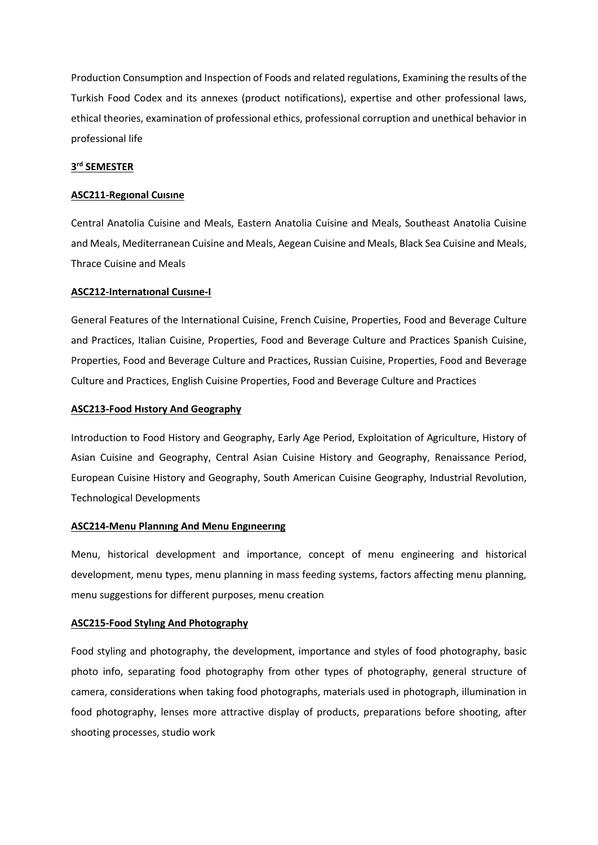Production Consumption and Inspection of Foods and related regulations, Examining the results of the Turkish Food Codex and its annexes (product notifications), expertise and other professional laws, ethical theories, examination of professional ethics, professional corruption and unethical behavior in professional life

# **3 rd SEMESTER**

## **ASC211-Regıonal Cuısıne**

Central Anatolia Cuisine and Meals, Eastern Anatolia Cuisine and Meals, Southeast Anatolia Cuisine and Meals, Mediterranean Cuisine and Meals, Aegean Cuisine and Meals, Black Sea Cuisine and Meals, Thrace Cuisine and Meals

# **ASC212-Internatıonal Cuısıne-I**

General Features of the International Cuisine, French Cuisine, Properties, Food and Beverage Culture and Practices, Italian Cuisine, Properties, Food and Beverage Culture and Practices Spanish Cuisine, Properties, Food and Beverage Culture and Practices, Russian Cuisine, Properties, Food and Beverage Culture and Practices, English Cuisine Properties, Food and Beverage Culture and Practices

# **ASC213-Food Hıstory And Geography**

Introduction to Food History and Geography, Early Age Period, Exploitation of Agriculture, History of Asian Cuisine and Geography, Central Asian Cuisine History and Geography, Renaissance Period, European Cuisine History and Geography, South American Cuisine Geography, Industrial Revolution, Technological Developments

## **ASC214-Menu Plannıng And Menu Engıneerıng**

Menu, historical development and importance, concept of menu engineering and historical development, menu types, menu planning in mass feeding systems, factors affecting menu planning, menu suggestions for different purposes, menu creation

# **ASC215-Food Stylıng And Photography**

Food styling and photography, the development, importance and styles of food photography, basic photo info, separating food photography from other types of photography, general structure of camera, considerations when taking food photographs, materials used in photograph, illumination in food photography, lenses more attractive display of products, preparations before shooting, after shooting processes, studio work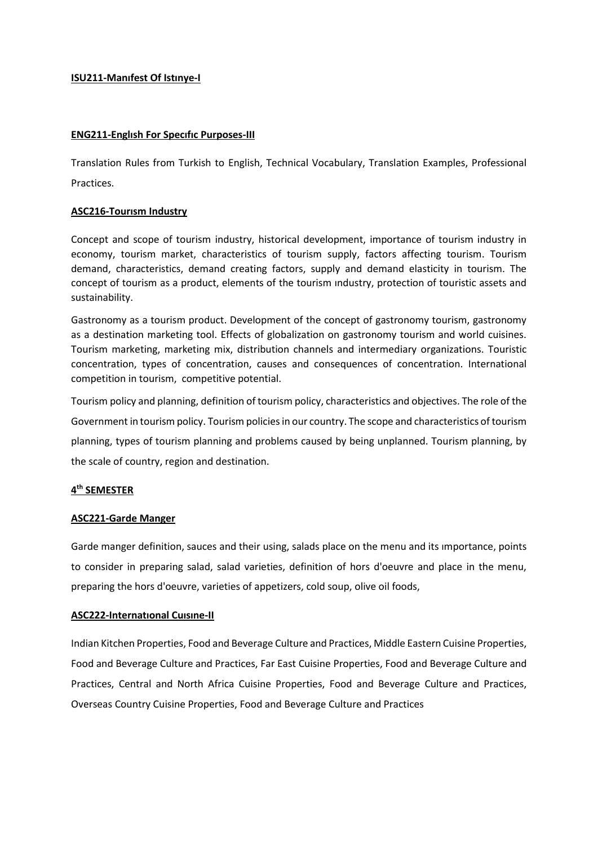## **ISU211-Manıfest Of Istınye-I**

## **ENG211-Englısh For Specıfıc Purposes-III**

Translation Rules from Turkish to English, Technical Vocabulary, Translation Examples, Professional Practices.

# **ASC216-Tourısm Industry**

Concept and scope of tourism industry, historical development, importance of tourism industry in economy, tourism market, characteristics of tourism supply, factors affecting tourism. Tourism demand, characteristics, demand creating factors, supply and demand elasticity in tourism. The concept of tourism as a product, elements of the tourism ındustry, protection of touristic assets and sustainability.

Gastronomy as a tourism product. Development of the concept of gastronomy tourism, gastronomy as a destination marketing tool. Effects of globalization on gastronomy tourism and world cuisines. Tourism marketing, marketing mix, distribution channels and intermediary organizations. Touristic concentration, types of concentration, causes and consequences of concentration. International competition in tourism, competitive potential.

Tourism policy and planning, definition of tourism policy, characteristics and objectives. The role of the Government in tourism policy. Tourism policies in our country. The scope and characteristics of tourism planning, types of tourism planning and problems caused by being unplanned. Tourism planning, by the scale of country, region and destination.

# **4 th SEMESTER**

# **ASC221-Garde Manger**

Garde manger definition, sauces and their using, salads place on the menu and its ımportance, points to consider in preparing salad, salad varieties, definition of hors d'oeuvre and place in the menu, preparing the hors d'oeuvre, varieties of appetizers, cold soup, olive oil foods,

## **ASC222-Internatıonal Cuısıne-II**

Indian Kitchen Properties, Food and Beverage Culture and Practices, Middle Eastern Cuisine Properties, Food and Beverage Culture and Practices, Far East Cuisine Properties, Food and Beverage Culture and Practices, Central and North Africa Cuisine Properties, Food and Beverage Culture and Practices, Overseas Country Cuisine Properties, Food and Beverage Culture and Practices